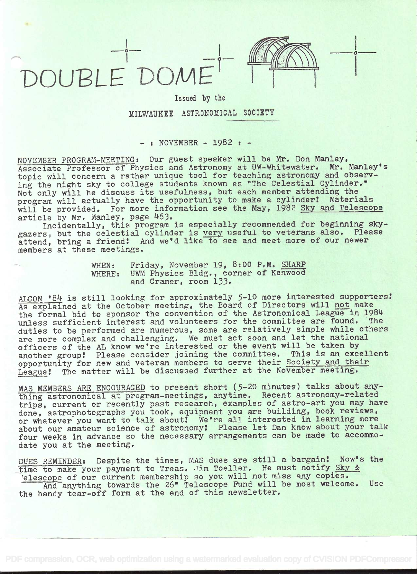



## Issued by the MILWAUKEE ASTRONOMICAL SOCIETY

 $-$  : NOVEMBER  $-$  1982 :  $-$ 

NOVEMBER PROGRAM-MEETING: Our guest speaker will be Mr. Don Manley, Associate Professor of Physics and Astronomy at UW-Whitewater. Mr. Manley's topic will concern a rather unique tool for teaching astronomy and observing the night sky to college students known as "The Celestial Cylinder." Not only will he discuss its usefulness, but each member attending the program will actually have the opportunity to make a cylinder! Materials will be provided. For more information see the May, 1982 Sky and Telescope article by Mr. Manley, page 463.

Incidentally, this program is especially recommended for beginning skygazers, but the celestial cylinder is very useful to veterans also. Please attend, bring a friend! And we'd like to see and meet more of our newer members at these meetings.

> WHEN: Friday, November 19, 8:00 P.M. SHARP WHERE: UWM Physics Bldg., corner of Kenwood and Cramer, room 133.

ALCON '84 is still looking for approximately 5-10 more interested supporters! As explained at the October meeting, the Board of Directors will not make the formal bid to sponsor the convention of the Astronomical League in 1984 unless sufficient interest and volunteers for the committee are found. The duties to be performed are numerous, some are relatively simple while others are more complex and challenging. We must act soon and let the national officers of the AL know we're interested or the event will be taken by another group! Please consider joining the committee. This is an excellent opportunity for new and veteran members to serve their Society and their League! The matter will be discussed further at the November meeting.

MAS MEMBERS ARE ENCOURAGED to present short (5-20 minutes) talks about anything astronomical at program-meetings, anytime. Recent astronomy-related trips, current or recently past research, examples of astro-art you may have done, astrophotographs you took, equipment you are building, book reviews, or whatever you want to talk about! We're all interested in learning more about our amateur science of astronomy! Please let Dan know about your talk four weeks in advance so the necessary arrangements can be made to accommodate you at the meeting.

DUES REMINDER: Despite the times, MAS dues are still a bargain! Now's the time to make your payment to Treas. Jim Toeller. He must notify Sky & elescope of our current membership so you will not miss any copies.<br>And anything towards the 26" Telescope Fund will be most welcome. Use And anything towards the 26" Telescope Fund will be most welcome. the handy tear-off form at the end of this newsletter.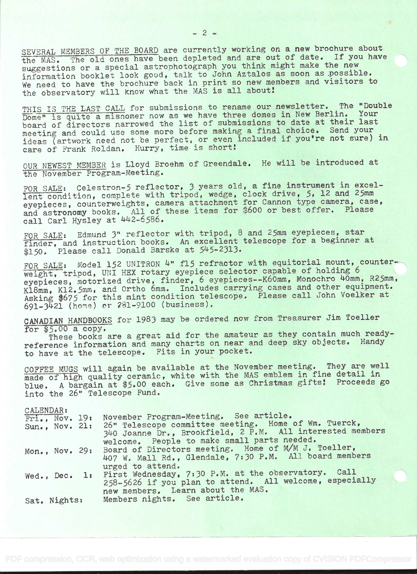SEVERAL MEMBERS OF THE BOARD are currently working on a new brochure about the MAS. The old ones have been depleted and are out of date. If you have suggestions or a special astrophotograph you think might make the new information booklet look good, talk to John Aztalos as soon as possible. We need to have the brochure back in print so new members and visitors to the observatory will know what the MAS is all about!

THIS IS THE LAST CALL for submissions to rename our newsletter. The "Double" Dome" is quite a misnomer now as we have three domes in New Berlin. board of directors narrowed the list of submissions to date at their last meeting and could use some more before making a final choice. Send your ideas (artwork need not be perfect, or even included if you're not sure) in care of Frank Roldan. Hurry, time is short!

OUR NEWEST MEMBER is Lloyd Broehm of Greendale. He will be introduced at the November Program-Meeting.

FOR SALE: Celestron-5 reflector, 3 years old, a fine instrument in excel-Ient condition, complete with tripod, wedge, clock drive, 5, 12 and 25mm eyepieces, counterweights, camera attachment for Cannon type camera, case, and astronomy books, All of these items for 3600 or best offer. Please call Carl Hysley at 442-6586.

FOR SALE: Edmund 3" reflector with tripod, 8 and 25mm eyepieces, star finder, and instruction books. An excellent telescope for a beginner at \$150. Please call Donald Barske at 545-2313.

FOR SALE: Model 152 UNITRON 4" fl5 refractor with equitorial mount, counterweight, tripod, UNI HEX rotary eyepiece selector capable of holding 6 eyepieces, motorized drive, finder, 6 eyepieces--K6Omm, Monochro 40mm, R25mm, Kl8mm, K12.5mm, and Ortho 6mm. Includes carrying cases and other equipment. Asking \$675 for this mint condition telescope. Please call John Voelker at 691-3421 (home) cr 281-9100 (business).

CANADIAN HANDBOOKS for 1983 may be ordered now from Treasurer Jim Toeller for \$5.00 a copy.

These books are a great aid for the amateur as they contain much readyreference information and many charts on near and deep sky objects. Handy to have at the telescope. Fits in your pocket.

COFFEE MUGS will again be available at the November meeting. They are well made of high quality ceramic, white with the MAS emblem in fine detail in blue. A bargain at \$5.00 each. Give some as Christmas gifts! Proceeds go into the 26" Telescope Fund,

## CALENDAR:

|  | Fri., Now. 19: |  | November Program-Meeting. See article.                                                                                           |
|--|----------------|--|----------------------------------------------------------------------------------------------------------------------------------|
|  |                |  | Sun., Nov. 21: 26" Telescope committee meeting. Home of Wm. Tuerck,<br>340 Joanne Dr., Brookfield, 2 P.M. All interested members |
|  |                |  | welcome. People to make small parts needed.                                                                                      |
|  |                |  | Mon., Nov. 29: Board of Directors meeting. Home of M/M J. Toeller,                                                               |
|  |                |  | 407 W. Mall Rd., Glendale, 7:30 P.M. All board members                                                                           |
|  |                |  | urged to attend.<br>Wed., Dec. 1: First Wednesday, 7:30 P.M. at the observatory. Call                                            |
|  |                |  | 258-5626 if you plan to attend. All welcome, especially                                                                          |
|  |                |  | new members. Learn about the MAS.                                                                                                |
|  | Sat. Nights:   |  | Members nights. See article.                                                                                                     |